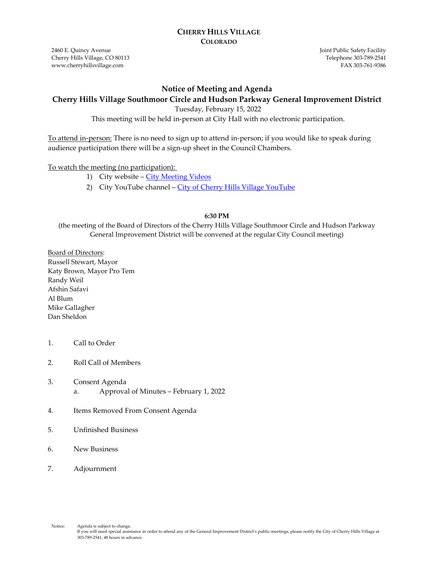#### **CHERRY HILLS VILLAGE COLORADO**

2460 E. Quincy Avenue Cherry Hills Village, CO 80113 www.cherryhillsvillage.com

Joint Public Safety Facility Telephone 303‐789‐2541 FAX 303‐761‐9386

#### **Notice of Meeting and Agenda**

#### **Cherry Hills Village Southmoor Circle and Hudson Parkway General Improvement District**

Tuesday, February 15, 2022

This meeting will be held in-person at City Hall with no electronic participation.

To attend in-person: There is no need to sign up to attend in-person; if you would like to speak during audience participation there will be a sign-up sheet in the Council Chambers.

#### To watch the meeting (no participation):

- 1) City website [City Meeting Videos](http://www.cherryhillsvillage.com/501/Council-Videos-Agendas-Packets-Minutes)
- 2) City YouTube channel [City of Cherry Hills Village YouTube](https://www.youtube.com/channel/UCHY4MgJ1gekrqDW949gW7Gw)

#### **6:30 PM**

(the meeting of the Board of Directors of the Cherry Hills Village Southmoor Circle and Hudson Parkway General Improvement District will be convened at the regular City Council meeting)

Board of Directors: Russell Stewart, Mayor Katy Brown, Mayor Pro Tem Randy Weil Afshin Safavi Al Blum Mike Gallagher Dan Sheldon

- 1. Call to Order
- 2. Roll Call of Members
- 3. Consent Agenda a. Approval of Minutes – February 1, 2022
- 4. Items Removed From Consent Agenda
- 5. Unfinished Business
- 6. New Business
- 7. Adjournment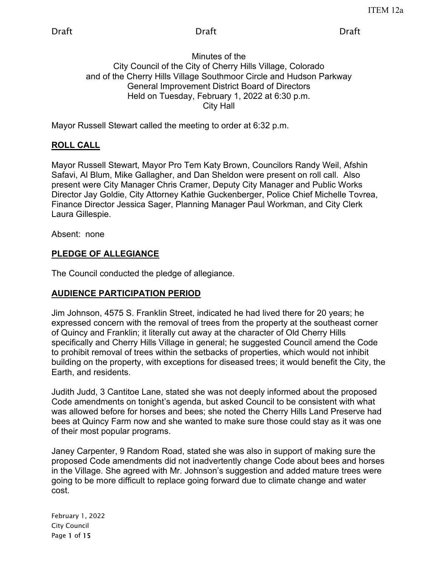#### Minutes of the City Council of the City of Cherry Hills Village, Colorado and of the Cherry Hills Village Southmoor Circle and Hudson Parkway General Improvement District Board of Directors Held on Tuesday, February 1, 2022 at 6:30 p.m. City Hall

Mayor Russell Stewart called the meeting to order at 6:32 p.m.

# **ROLL CALL**

Mayor Russell Stewart, Mayor Pro Tem Katy Brown, Councilors Randy Weil, Afshin Safavi, Al Blum, Mike Gallagher, and Dan Sheldon were present on roll call. Also present were City Manager Chris Cramer, Deputy City Manager and Public Works Director Jay Goldie, City Attorney Kathie Guckenberger, Police Chief Michelle Tovrea, Finance Director Jessica Sager, Planning Manager Paul Workman, and City Clerk Laura Gillespie.

Absent: none

# **PLEDGE OF ALLEGIANCE**

The Council conducted the pledge of allegiance.

# **AUDIENCE PARTICIPATION PERIOD**

Jim Johnson, 4575 S. Franklin Street, indicated he had lived there for 20 years; he expressed concern with the removal of trees from the property at the southeast corner of Quincy and Franklin; it literally cut away at the character of Old Cherry Hills specifically and Cherry Hills Village in general; he suggested Council amend the Code to prohibit removal of trees within the setbacks of properties, which would not inhibit building on the property, with exceptions for diseased trees; it would benefit the City, the Earth, and residents.

Judith Judd, 3 Cantitoe Lane, stated she was not deeply informed about the proposed Code amendments on tonight's agenda, but asked Council to be consistent with what was allowed before for horses and bees; she noted the Cherry Hills Land Preserve had bees at Quincy Farm now and she wanted to make sure those could stay as it was one of their most popular programs.

Janey Carpenter, 9 Random Road, stated she was also in support of making sure the proposed Code amendments did not inadvertently change Code about bees and horses in the Village. She agreed with Mr. Johnson's suggestion and added mature trees were going to be more difficult to replace going forward due to climate change and water cost.

February 1, 2022 City Council Page 1 of 15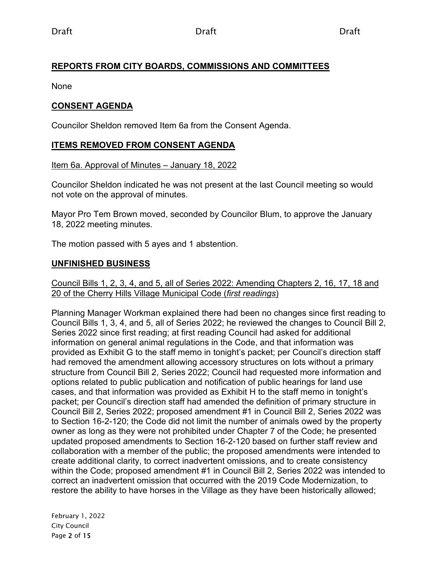## **REPORTS FROM CITY BOARDS, COMMISSIONS AND COMMITTEES**

None

### **CONSENT AGENDA**

Councilor Sheldon removed Item 6a from the Consent Agenda.

### **ITEMS REMOVED FROM CONSENT AGENDA**

#### Item 6a. Approval of Minutes – January 18, 2022

Councilor Sheldon indicated he was not present at the last Council meeting so would not vote on the approval of minutes.

Mayor Pro Tem Brown moved, seconded by Councilor Blum, to approve the January 18, 2022 meeting minutes.

The motion passed with 5 ayes and 1 abstention.

### **UNFINISHED BUSINESS**

#### Council Bills 1, 2, 3, 4, and 5, all of Series 2022: Amending Chapters 2, 16, 17, 18 and 20 of the Cherry Hills Village Municipal Code (*first readings*)

Planning Manager Workman explained there had been no changes since first reading to Council Bills 1, 3, 4, and 5, all of Series 2022; he reviewed the changes to Council Bill 2, Series 2022 since first reading; at first reading Council had asked for additional information on general animal regulations in the Code, and that information was provided as Exhibit G to the staff memo in tonight's packet; per Council's direction staff had removed the amendment allowing accessory structures on lots without a primary structure from Council Bill 2, Series 2022; Council had requested more information and options related to public publication and notification of public hearings for land use cases, and that information was provided as Exhibit H to the staff memo in tonight's packet; per Council's direction staff had amended the definition of primary structure in Council Bill 2, Series 2022; proposed amendment #1 in Council Bill 2, Series 2022 was to Section 16-2-120; the Code did not limit the number of animals owed by the property owner as long as they were not prohibited under Chapter 7 of the Code; he presented updated proposed amendments to Section 16-2-120 based on further staff review and collaboration with a member of the public; the proposed amendments were intended to create additional clarity, to correct inadvertent omissions, and to create consistency within the Code; proposed amendment #1 in Council Bill 2, Series 2022 was intended to correct an inadvertent omission that occurred with the 2019 Code Modernization, to restore the ability to have horses in the Village as they have been historically allowed;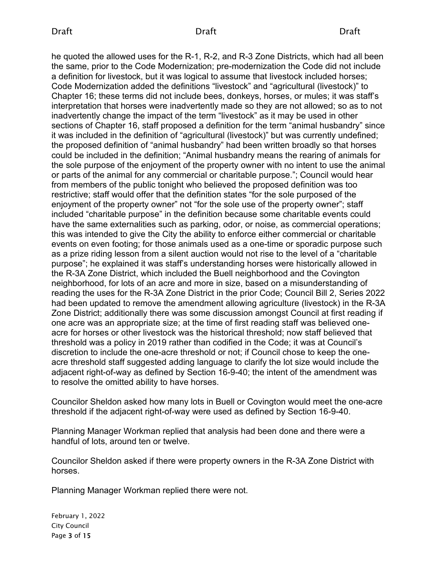#### Draft Draft Draft

he quoted the allowed uses for the R-1, R-2, and R-3 Zone Districts, which had all been the same, prior to the Code Modernization; pre-modernization the Code did not include a definition for livestock, but it was logical to assume that livestock included horses; Code Modernization added the definitions "livestock" and "agricultural (livestock)" to Chapter 16; these terms did not include bees, donkeys, horses, or mules; it was staff's interpretation that horses were inadvertently made so they are not allowed; so as to not inadvertently change the impact of the term "livestock" as it may be used in other sections of Chapter 16, staff proposed a definition for the term "animal husbandry" since it was included in the definition of "agricultural (livestock)" but was currently undefined; the proposed definition of "animal husbandry" had been written broadly so that horses could be included in the definition; "Animal husbandry means the rearing of animals for the sole purpose of the enjoyment of the property owner with no intent to use the animal or parts of the animal for any commercial or charitable purpose."; Council would hear from members of the public tonight who believed the proposed definition was too restrictive; staff would offer that the definition states "for the sole purposed of the enjoyment of the property owner" not "for the sole use of the property owner"; staff included "charitable purpose" in the definition because some charitable events could have the same externalities such as parking, odor, or noise, as commercial operations; this was intended to give the City the ability to enforce either commercial or charitable events on even footing; for those animals used as a one-time or sporadic purpose such as a prize riding lesson from a silent auction would not rise to the level of a "charitable purpose"; he explained it was staff's understanding horses were historically allowed in the R-3A Zone District, which included the Buell neighborhood and the Covington neighborhood, for lots of an acre and more in size, based on a misunderstanding of reading the uses for the R-3A Zone District in the prior Code; Council Bill 2, Series 2022 had been updated to remove the amendment allowing agriculture (livestock) in the R-3A Zone District; additionally there was some discussion amongst Council at first reading if one acre was an appropriate size; at the time of first reading staff was believed oneacre for horses or other livestock was the historical threshold; now staff believed that threshold was a policy in 2019 rather than codified in the Code; it was at Council's discretion to include the one-acre threshold or not; if Council chose to keep the oneacre threshold staff suggested adding language to clarify the lot size would include the adjacent right-of-way as defined by Section 16-9-40; the intent of the amendment was to resolve the omitted ability to have horses.

Councilor Sheldon asked how many lots in Buell or Covington would meet the one-acre threshold if the adjacent right-of-way were used as defined by Section 16-9-40.

Planning Manager Workman replied that analysis had been done and there were a handful of lots, around ten or twelve.

Councilor Sheldon asked if there were property owners in the R-3A Zone District with horses.

Planning Manager Workman replied there were not.

February 1, 2022 City Council Page 3 of 15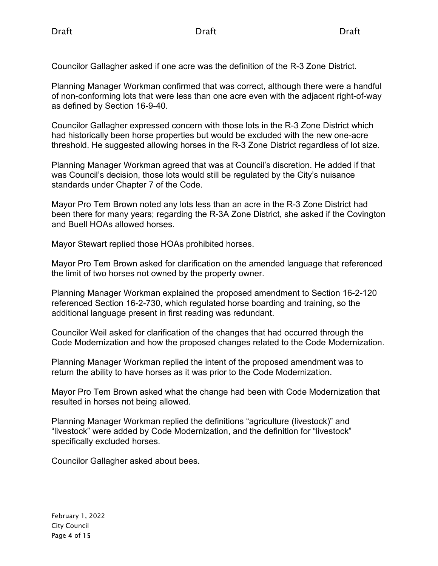Councilor Gallagher asked if one acre was the definition of the R-3 Zone District.

Planning Manager Workman confirmed that was correct, although there were a handful of non-conforming lots that were less than one acre even with the adjacent right-of-way as defined by Section 16-9-40.

Councilor Gallagher expressed concern with those lots in the R-3 Zone District which had historically been horse properties but would be excluded with the new one-acre threshold. He suggested allowing horses in the R-3 Zone District regardless of lot size.

Planning Manager Workman agreed that was at Council's discretion. He added if that was Council's decision, those lots would still be regulated by the City's nuisance standards under Chapter 7 of the Code.

Mayor Pro Tem Brown noted any lots less than an acre in the R-3 Zone District had been there for many years; regarding the R-3A Zone District, she asked if the Covington and Buell HOAs allowed horses.

Mayor Stewart replied those HOAs prohibited horses.

Mayor Pro Tem Brown asked for clarification on the amended language that referenced the limit of two horses not owned by the property owner.

Planning Manager Workman explained the proposed amendment to Section 16-2-120 referenced Section 16-2-730, which regulated horse boarding and training, so the additional language present in first reading was redundant.

Councilor Weil asked for clarification of the changes that had occurred through the Code Modernization and how the proposed changes related to the Code Modernization.

Planning Manager Workman replied the intent of the proposed amendment was to return the ability to have horses as it was prior to the Code Modernization.

Mayor Pro Tem Brown asked what the change had been with Code Modernization that resulted in horses not being allowed.

Planning Manager Workman replied the definitions "agriculture (livestock)" and "livestock" were added by Code Modernization, and the definition for "livestock" specifically excluded horses.

Councilor Gallagher asked about bees.

February 1, 2022 City Council Page 4 of 15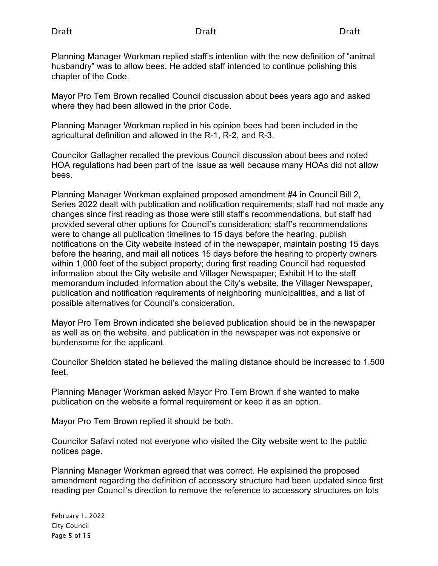Planning Manager Workman replied staff's intention with the new definition of "animal husbandry" was to allow bees. He added staff intended to continue polishing this chapter of the Code.

Mayor Pro Tem Brown recalled Council discussion about bees years ago and asked where they had been allowed in the prior Code.

Planning Manager Workman replied in his opinion bees had been included in the agricultural definition and allowed in the R-1, R-2, and R-3.

Councilor Gallagher recalled the previous Council discussion about bees and noted HOA regulations had been part of the issue as well because many HOAs did not allow bees.

Planning Manager Workman explained proposed amendment #4 in Council Bill 2, Series 2022 dealt with publication and notification requirements; staff had not made any changes since first reading as those were still staff's recommendations, but staff had provided several other options for Council's consideration; staff's recommendations were to change all publication timelines to 15 days before the hearing, publish notifications on the City website instead of in the newspaper, maintain posting 15 days before the hearing, and mail all notices 15 days before the hearing to property owners within 1,000 feet of the subject property; during first reading Council had requested information about the City website and Villager Newspaper; Exhibit H to the staff memorandum included information about the City's website, the Villager Newspaper, publication and notification requirements of neighboring municipalities, and a list of possible alternatives for Council's consideration.

Mayor Pro Tem Brown indicated she believed publication should be in the newspaper as well as on the website, and publication in the newspaper was not expensive or burdensome for the applicant.

Councilor Sheldon stated he believed the mailing distance should be increased to 1,500 feet.

Planning Manager Workman asked Mayor Pro Tem Brown if she wanted to make publication on the website a formal requirement or keep it as an option.

Mayor Pro Tem Brown replied it should be both.

Councilor Safavi noted not everyone who visited the City website went to the public notices page.

Planning Manager Workman agreed that was correct. He explained the proposed amendment regarding the definition of accessory structure had been updated since first reading per Council's direction to remove the reference to accessory structures on lots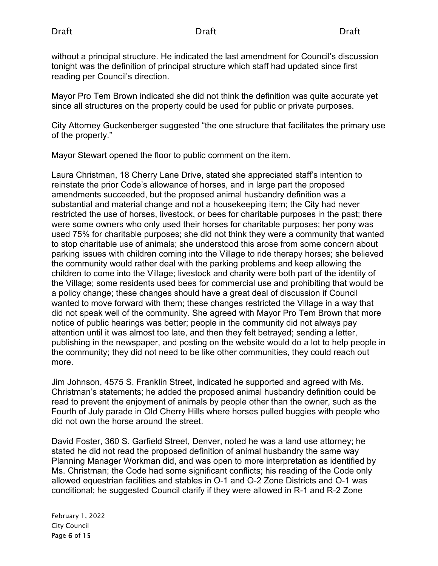without a principal structure. He indicated the last amendment for Council's discussion tonight was the definition of principal structure which staff had updated since first reading per Council's direction.

Mayor Pro Tem Brown indicated she did not think the definition was quite accurate yet since all structures on the property could be used for public or private purposes.

City Attorney Guckenberger suggested "the one structure that facilitates the primary use of the property."

Mayor Stewart opened the floor to public comment on the item.

Laura Christman, 18 Cherry Lane Drive, stated she appreciated staff's intention to reinstate the prior Code's allowance of horses, and in large part the proposed amendments succeeded, but the proposed animal husbandry definition was a substantial and material change and not a housekeeping item; the City had never restricted the use of horses, livestock, or bees for charitable purposes in the past; there were some owners who only used their horses for charitable purposes; her pony was used 75% for charitable purposes; she did not think they were a community that wanted to stop charitable use of animals; she understood this arose from some concern about parking issues with children coming into the Village to ride therapy horses; she believed the community would rather deal with the parking problems and keep allowing the children to come into the Village; livestock and charity were both part of the identity of the Village; some residents used bees for commercial use and prohibiting that would be a policy change; these changes should have a great deal of discussion if Council wanted to move forward with them; these changes restricted the Village in a way that did not speak well of the community. She agreed with Mayor Pro Tem Brown that more notice of public hearings was better; people in the community did not always pay attention until it was almost too late, and then they felt betrayed; sending a letter, publishing in the newspaper, and posting on the website would do a lot to help people in the community; they did not need to be like other communities, they could reach out more.

Jim Johnson, 4575 S. Franklin Street, indicated he supported and agreed with Ms. Christman's statements; he added the proposed animal husbandry definition could be read to prevent the enjoyment of animals by people other than the owner, such as the Fourth of July parade in Old Cherry Hills where horses pulled buggies with people who did not own the horse around the street.

David Foster, 360 S. Garfield Street, Denver, noted he was a land use attorney; he stated he did not read the proposed definition of animal husbandry the same way Planning Manager Workman did, and was open to more interpretation as identified by Ms. Christman; the Code had some significant conflicts; his reading of the Code only allowed equestrian facilities and stables in O-1 and O-2 Zone Districts and O-1 was conditional; he suggested Council clarify if they were allowed in R-1 and R-2 Zone

February 1, 2022 City Council Page 6 of 15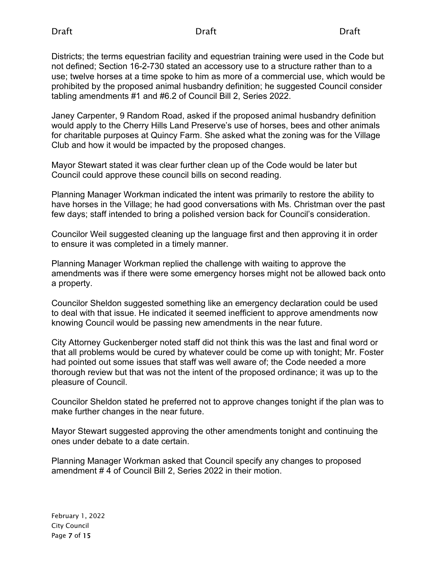Districts; the terms equestrian facility and equestrian training were used in the Code but not defined; Section 16-2-730 stated an accessory use to a structure rather than to a use; twelve horses at a time spoke to him as more of a commercial use, which would be prohibited by the proposed animal husbandry definition; he suggested Council consider tabling amendments #1 and #6.2 of Council Bill 2, Series 2022.

Janey Carpenter, 9 Random Road, asked if the proposed animal husbandry definition would apply to the Cherry Hills Land Preserve's use of horses, bees and other animals for charitable purposes at Quincy Farm. She asked what the zoning was for the Village Club and how it would be impacted by the proposed changes.

Mayor Stewart stated it was clear further clean up of the Code would be later but Council could approve these council bills on second reading.

Planning Manager Workman indicated the intent was primarily to restore the ability to have horses in the Village; he had good conversations with Ms. Christman over the past few days; staff intended to bring a polished version back for Council's consideration.

Councilor Weil suggested cleaning up the language first and then approving it in order to ensure it was completed in a timely manner.

Planning Manager Workman replied the challenge with waiting to approve the amendments was if there were some emergency horses might not be allowed back onto a property.

Councilor Sheldon suggested something like an emergency declaration could be used to deal with that issue. He indicated it seemed inefficient to approve amendments now knowing Council would be passing new amendments in the near future.

City Attorney Guckenberger noted staff did not think this was the last and final word or that all problems would be cured by whatever could be come up with tonight; Mr. Foster had pointed out some issues that staff was well aware of; the Code needed a more thorough review but that was not the intent of the proposed ordinance; it was up to the pleasure of Council.

Councilor Sheldon stated he preferred not to approve changes tonight if the plan was to make further changes in the near future.

Mayor Stewart suggested approving the other amendments tonight and continuing the ones under debate to a date certain.

Planning Manager Workman asked that Council specify any changes to proposed amendment # 4 of Council Bill 2, Series 2022 in their motion.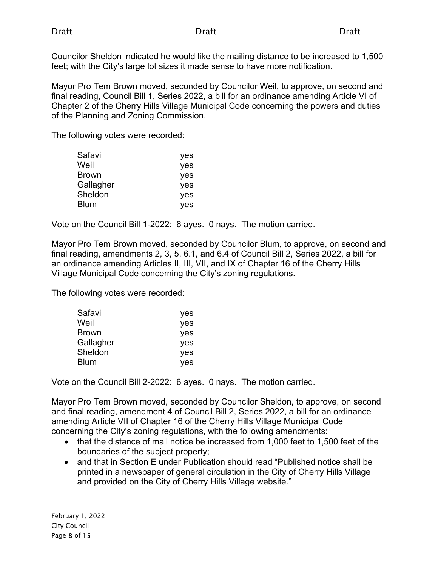Councilor Sheldon indicated he would like the mailing distance to be increased to 1,500 feet; with the City's large lot sizes it made sense to have more notification.

Mayor Pro Tem Brown moved, seconded by Councilor Weil, to approve, on second and final reading, Council Bill 1, Series 2022, a bill for an ordinance amending Article VI of Chapter 2 of the Cherry Hills Village Municipal Code concerning the powers and duties of the Planning and Zoning Commission.

The following votes were recorded:

| yes |
|-----|
| yes |
| yes |
| yes |
| yes |
| yes |
|     |

Vote on the Council Bill 1-2022: 6 ayes. 0 nays. The motion carried.

Mayor Pro Tem Brown moved, seconded by Councilor Blum, to approve, on second and final reading, amendments 2, 3, 5, 6.1, and 6.4 of Council Bill 2, Series 2022, a bill for an ordinance amending Articles II, III, VII, and IX of Chapter 16 of the Cherry Hills Village Municipal Code concerning the City's zoning regulations.

The following votes were recorded:

| yes        |
|------------|
| yes        |
| yes        |
| yes        |
| yes        |
| <b>ves</b> |
|            |

Vote on the Council Bill 2-2022: 6 ayes. 0 nays. The motion carried.

Mayor Pro Tem Brown moved, seconded by Councilor Sheldon, to approve, on second and final reading, amendment 4 of Council Bill 2, Series 2022, a bill for an ordinance amending Article VII of Chapter 16 of the Cherry Hills Village Municipal Code concerning the City's zoning regulations, with the following amendments:

- that the distance of mail notice be increased from 1,000 feet to 1,500 feet of the boundaries of the subject property;
- and that in Section E under Publication should read "Published notice shall be printed in a newspaper of general circulation in the City of Cherry Hills Village and provided on the City of Cherry Hills Village website."

February 1, 2022 City Council Page 8 of 15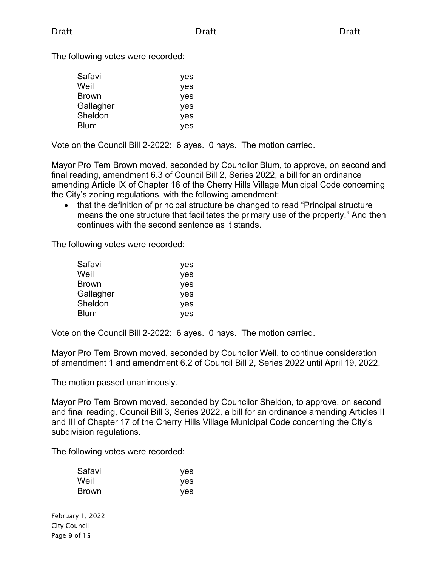The following votes were recorded:

| Safavi    | yes |
|-----------|-----|
| Weil      | yes |
| Brown     | yes |
| Gallagher | yes |
| Sheldon   | yes |
| Blum      | yes |

Vote on the Council Bill 2-2022: 6 ayes. 0 nays. The motion carried.

Mayor Pro Tem Brown moved, seconded by Councilor Blum, to approve, on second and final reading, amendment 6.3 of Council Bill 2, Series 2022, a bill for an ordinance amending Article IX of Chapter 16 of the Cherry Hills Village Municipal Code concerning the City's zoning regulations, with the following amendment:

• that the definition of principal structure be changed to read "Principal structure means the one structure that facilitates the primary use of the property." And then continues with the second sentence as it stands.

The following votes were recorded:

| Safavi    | yes        |
|-----------|------------|
| Weil      | yes        |
| Brown     | yes        |
| Gallagher | yes        |
| Sheldon   | <b>ves</b> |
| Blum      | <b>ves</b> |

Vote on the Council Bill 2-2022: 6 ayes. 0 nays. The motion carried.

Mayor Pro Tem Brown moved, seconded by Councilor Weil, to continue consideration of amendment 1 and amendment 6.2 of Council Bill 2, Series 2022 until April 19, 2022.

The motion passed unanimously.

Mayor Pro Tem Brown moved, seconded by Councilor Sheldon, to approve, on second and final reading, Council Bill 3, Series 2022, a bill for an ordinance amending Articles II and III of Chapter 17 of the Cherry Hills Village Municipal Code concerning the City's subdivision regulations.

The following votes were recorded:

| Safavi       | yes |
|--------------|-----|
| Weil         | yes |
| <b>Brown</b> | yes |

February 1, 2022 City Council Page 9 of 15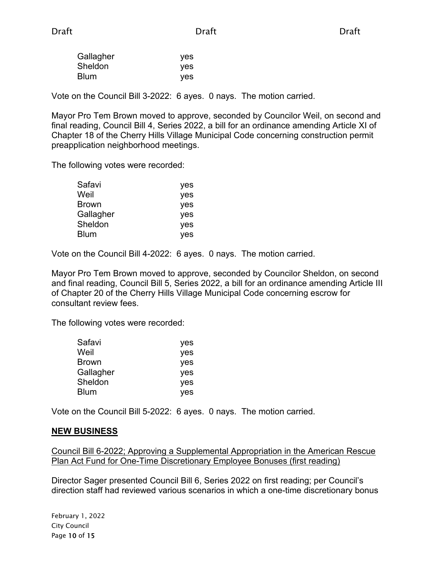| Gallagher | yes |
|-----------|-----|
| Sheldon   | yes |
| Blum      | yes |

Vote on the Council Bill 3-2022: 6 ayes. 0 nays. The motion carried.

Mayor Pro Tem Brown moved to approve, seconded by Councilor Weil, on second and final reading, Council Bill 4, Series 2022, a bill for an ordinance amending Article XI of Chapter 18 of the Cherry Hills Village Municipal Code concerning construction permit preapplication neighborhood meetings.

The following votes were recorded:

| Safavi    | yes |
|-----------|-----|
| Weil      | yes |
| Brown     | yes |
| Gallagher | yes |
| Sheldon   | yes |
| Blum      | yes |

Vote on the Council Bill 4-2022: 6 ayes. 0 nays. The motion carried.

Mayor Pro Tem Brown moved to approve, seconded by Councilor Sheldon, on second and final reading, Council Bill 5, Series 2022, a bill for an ordinance amending Article III of Chapter 20 of the Cherry Hills Village Municipal Code concerning escrow for consultant review fees.

The following votes were recorded:

| Safavi    | yes        |
|-----------|------------|
| Weil      | yes        |
| Brown     | yes        |
| Gallagher | yes        |
| Sheldon   | yes        |
| Blum      | <b>ves</b> |
|           |            |

Vote on the Council Bill 5-2022: 6 ayes. 0 nays. The motion carried.

#### **NEW BUSINESS**

Council Bill 6-2022; Approving a Supplemental Appropriation in the American Rescue Plan Act Fund for One-Time Discretionary Employee Bonuses (first reading)

Director Sager presented Council Bill 6, Series 2022 on first reading; per Council's direction staff had reviewed various scenarios in which a one-time discretionary bonus

February 1, 2022 City Council Page 10 of 15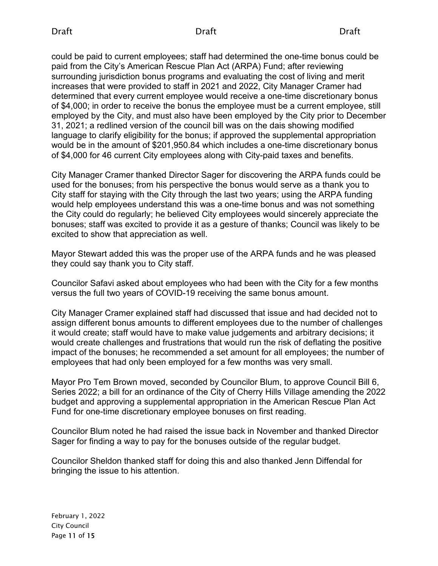could be paid to current employees; staff had determined the one-time bonus could be paid from the City's American Rescue Plan Act (ARPA) Fund; after reviewing surrounding jurisdiction bonus programs and evaluating the cost of living and merit increases that were provided to staff in 2021 and 2022, City Manager Cramer had determined that every current employee would receive a one-time discretionary bonus of \$4,000; in order to receive the bonus the employee must be a current employee, still employed by the City, and must also have been employed by the City prior to December 31, 2021; a redlined version of the council bill was on the dais showing modified language to clarify eligibility for the bonus; if approved the supplemental appropriation would be in the amount of \$201,950.84 which includes a one-time discretionary bonus of \$4,000 for 46 current City employees along with City-paid taxes and benefits.

City Manager Cramer thanked Director Sager for discovering the ARPA funds could be used for the bonuses; from his perspective the bonus would serve as a thank you to City staff for staying with the City through the last two years; using the ARPA funding would help employees understand this was a one-time bonus and was not something the City could do regularly; he believed City employees would sincerely appreciate the bonuses; staff was excited to provide it as a gesture of thanks; Council was likely to be excited to show that appreciation as well.

Mayor Stewart added this was the proper use of the ARPA funds and he was pleased they could say thank you to City staff.

Councilor Safavi asked about employees who had been with the City for a few months versus the full two years of COVID-19 receiving the same bonus amount.

City Manager Cramer explained staff had discussed that issue and had decided not to assign different bonus amounts to different employees due to the number of challenges it would create; staff would have to make value judgements and arbitrary decisions; it would create challenges and frustrations that would run the risk of deflating the positive impact of the bonuses; he recommended a set amount for all employees; the number of employees that had only been employed for a few months was very small.

Mayor Pro Tem Brown moved, seconded by Councilor Blum, to approve Council Bill 6, Series 2022; a bill for an ordinance of the City of Cherry Hills Village amending the 2022 budget and approving a supplemental appropriation in the American Rescue Plan Act Fund for one-time discretionary employee bonuses on first reading.

Councilor Blum noted he had raised the issue back in November and thanked Director Sager for finding a way to pay for the bonuses outside of the regular budget.

Councilor Sheldon thanked staff for doing this and also thanked Jenn Diffendal for bringing the issue to his attention.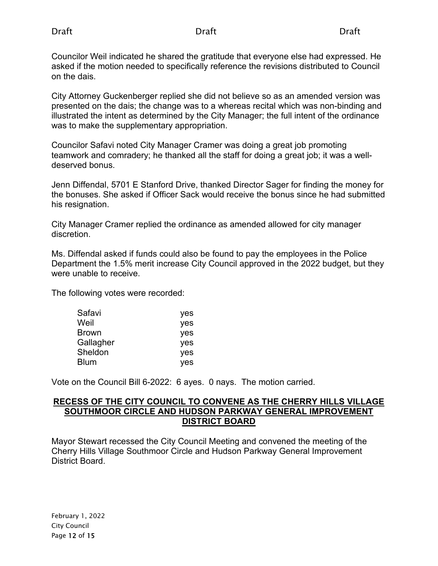Councilor Weil indicated he shared the gratitude that everyone else had expressed. He asked if the motion needed to specifically reference the revisions distributed to Council on the dais.

City Attorney Guckenberger replied she did not believe so as an amended version was presented on the dais; the change was to a whereas recital which was non-binding and illustrated the intent as determined by the City Manager; the full intent of the ordinance was to make the supplementary appropriation.

Councilor Safavi noted City Manager Cramer was doing a great job promoting teamwork and comradery; he thanked all the staff for doing a great job; it was a welldeserved bonus.

Jenn Diffendal, 5701 E Stanford Drive, thanked Director Sager for finding the money for the bonuses. She asked if Officer Sack would receive the bonus since he had submitted his resignation.

City Manager Cramer replied the ordinance as amended allowed for city manager discretion.

Ms. Diffendal asked if funds could also be found to pay the employees in the Police Department the 1.5% merit increase City Council approved in the 2022 budget, but they were unable to receive.

The following votes were recorded:

| Safavi       | yes        |
|--------------|------------|
| Weil         | yes        |
| <b>Brown</b> | yes        |
| Gallagher    | yes        |
| Sheldon      | <b>ves</b> |
| <b>Blum</b>  | <b>ves</b> |

Vote on the Council Bill 6-2022: 6 ayes. 0 nays. The motion carried.

#### **RECESS OF THE CITY COUNCIL TO CONVENE AS THE CHERRY HILLS VILLAGE SOUTHMOOR CIRCLE AND HUDSON PARKWAY GENERAL IMPROVEMENT DISTRICT BOARD**

Mayor Stewart recessed the City Council Meeting and convened the meeting of the Cherry Hills Village Southmoor Circle and Hudson Parkway General Improvement District Board.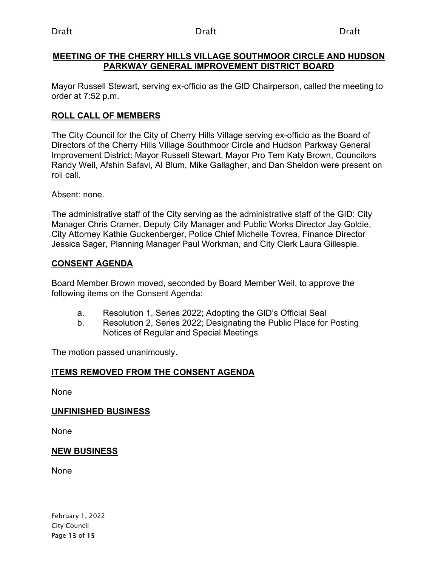#### **MEETING OF THE CHERRY HILLS VILLAGE SOUTHMOOR CIRCLE AND HUDSON PARKWAY GENERAL IMPROVEMENT DISTRICT BOARD**

Mayor Russell Stewart, serving ex-officio as the GID Chairperson, called the meeting to order at 7:52 p.m.

#### **ROLL CALL OF MEMBERS**

The City Council for the City of Cherry Hills Village serving ex-officio as the Board of Directors of the Cherry Hills Village Southmoor Circle and Hudson Parkway General Improvement District: Mayor Russell Stewart, Mayor Pro Tem Katy Brown, Councilors Randy Weil, Afshin Safavi, Al Blum, Mike Gallagher, and Dan Sheldon were present on roll call.

Absent: none.

The administrative staff of the City serving as the administrative staff of the GID: City Manager Chris Cramer, Deputy City Manager and Public Works Director Jay Goldie, City Attorney Kathie Guckenberger, Police Chief Michelle Tovrea, Finance Director Jessica Sager, Planning Manager Paul Workman, and City Clerk Laura Gillespie.

### **CONSENT AGENDA**

Board Member Brown moved, seconded by Board Member Weil, to approve the following items on the Consent Agenda:

- a. Resolution 1, Series 2022; Adopting the GID's Official Seal
- b. Resolution 2, Series 2022; Designating the Public Place for Posting Notices of Regular and Special Meetings

The motion passed unanimously.

### **ITEMS REMOVED FROM THE CONSENT AGENDA**

None

#### **UNFINISHED BUSINESS**

None

#### **NEW BUSINESS**

None

February 1, 2022 City Council Page 13 of 15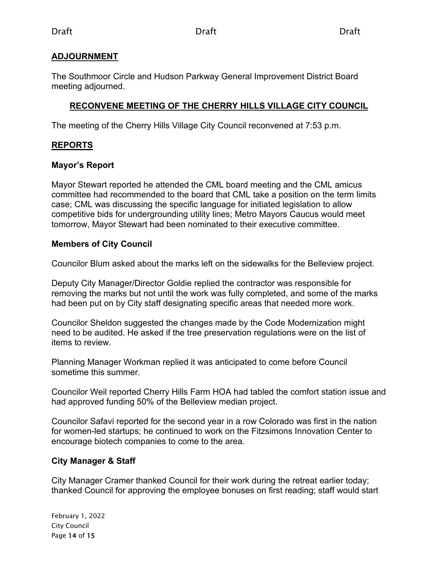### **ADJOURNMENT**

The Southmoor Circle and Hudson Parkway General Improvement District Board meeting adjourned.

## **RECONVENE MEETING OF THE CHERRY HILLS VILLAGE CITY COUNCIL**

The meeting of the Cherry Hills Village City Council reconvened at 7:53 p.m.

### **REPORTS**

### **Mayor's Report**

Mayor Stewart reported he attended the CML board meeting and the CML amicus committee had recommended to the board that CML take a position on the term limits case; CML was discussing the specific language for initiated legislation to allow competitive bids for undergrounding utility lines; Metro Mayors Caucus would meet tomorrow, Mayor Stewart had been nominated to their executive committee.

### **Members of City Council**

Councilor Blum asked about the marks left on the sidewalks for the Belleview project.

Deputy City Manager/Director Goldie replied the contractor was responsible for removing the marks but not until the work was fully completed, and some of the marks had been put on by City staff designating specific areas that needed more work.

Councilor Sheldon suggested the changes made by the Code Modernization might need to be audited. He asked if the tree preservation regulations were on the list of items to review.

Planning Manager Workman replied it was anticipated to come before Council sometime this summer.

Councilor Weil reported Cherry Hills Farm HOA had tabled the comfort station issue and had approved funding 50% of the Belleview median project.

Councilor Safavi reported for the second year in a row Colorado was first in the nation for women-led startups; he continued to work on the Fitzsimons Innovation Center to encourage biotech companies to come to the area.

### **City Manager & Staff**

City Manager Cramer thanked Council for their work during the retreat earlier today; thanked Council for approving the employee bonuses on first reading; staff would start

February 1, 2022 City Council Page 14 of 15